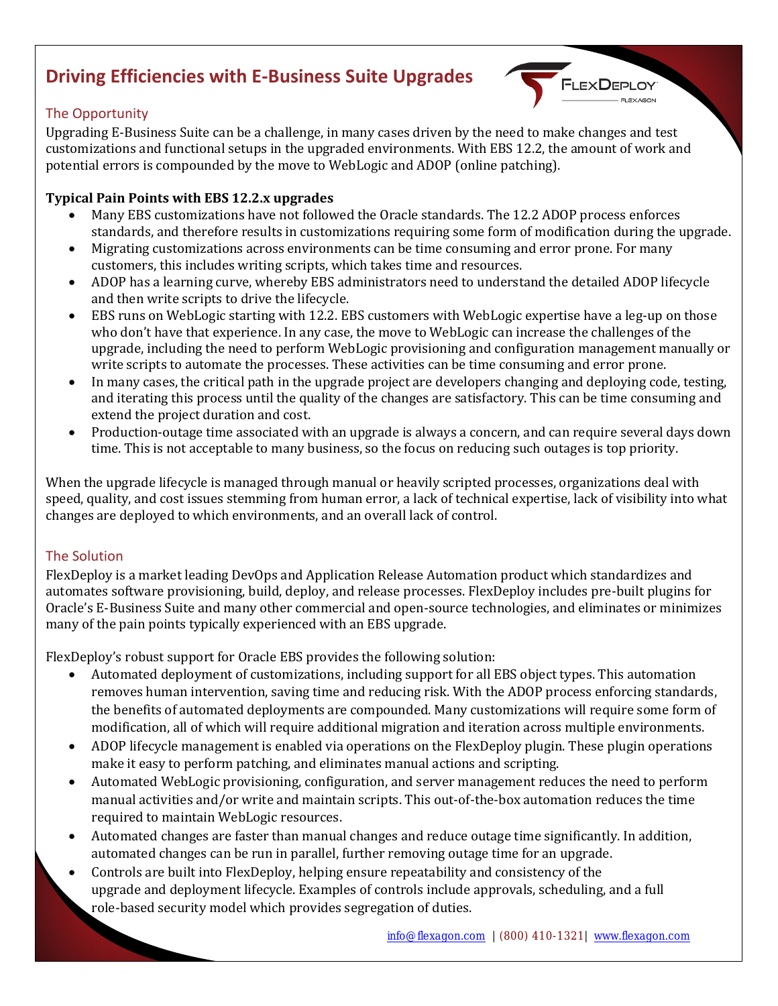# **Driving Efficiencies with E-Business Suite Upgrades**

# The Opportunity

Upgrading E-Business Suite can be a challenge, in many cases driven by the need to make changes and test customizations and functional setups in the upgraded environments. With EBS 12.2, the amount of work and potential errors is compounded by the move to WebLogic and ADOP (online patching).

### **Typical Pain Points with EBS 12.2.x upgrades**

• Many EBS customizations have not followed the Oracle standards. The 12.2 ADOP process enforces standards, and therefore results in customizations requiring some form of modification during the upgrade.

**FLEXDEPL** 

- Migrating customizations across environments can be time consuming and error prone. For many customers, this includes writing scripts, which takes time and resources.
- ADOP has a learning curve, whereby EBS administrators need to understand the detailed ADOP lifecycle and then write scripts to drive the lifecycle.
- EBS runs on WebLogic starting with 12.2. EBS customers with WebLogic expertise have a leg-up on those who don't have that experience. In any case, the move to WebLogic can increase the challenges of the upgrade, including the need to perform WebLogic provisioning and configuration management manually or write scripts to automate the processes. These activities can be time consuming and error prone.
- In many cases, the critical path in the upgrade project are developers changing and deploying code, testing, and iterating this process until the quality of the changes are satisfactory. This can be time consuming and extend the project duration and cost.
- Production-outage time associated with an upgrade is always a concern, and can require several days down time. This is not acceptable to many business, so the focus on reducing such outages is top priority.

When the upgrade lifecycle is managed through manual or heavily scripted processes, organizations deal with speed, quality, and cost issues stemming from human error, a lack of technical expertise, lack of visibility into what changes are deployed to which environments, and an overall lack of control.

## The Solution

FlexDeploy is a market leading DevOps and Application Release Automation product which standardizes and automates software provisioning, build, deploy, and release processes. FlexDeploy includes pre-built plugins for Oracle's E-Business Suite and many other commercial and open-source technologies, and eliminates or minimizes many of the pain points typically experienced with an EBS upgrade.

FlexDeploy's robust support for Oracle EBS provides the following solution:

- Automated deployment of customizations, including support for all EBS object types. This automation removes human intervention, saving time and reducing risk. With the ADOP process enforcing standards, the benefits of automated deployments are compounded. Many customizations will require some form of modification, all of which will require additional migration and iteration across multiple environments.
- ADOP lifecycle management is enabled via operations on the FlexDeploy plugin. These plugin operations make it easy to perform patching, and eliminates manual actions and scripting.
- Automated WebLogic provisioning, configuration, and server management reduces the need to perform manual activities and/or write and maintain scripts. This out-of-the-box automation reduces the time required to maintain WebLogic resources.
- Automated changes are faster than manual changes and reduce outage time significantly. In addition, automated changes can be run in parallel, further removing outage time for an upgrade.
- Controls are built into FlexDeploy, helping ensure repeatability and consistency of the upgrade and deployment lifecycle. Examples of controls include approvals, scheduling, and a full role-based security model which provides segregation of duties.